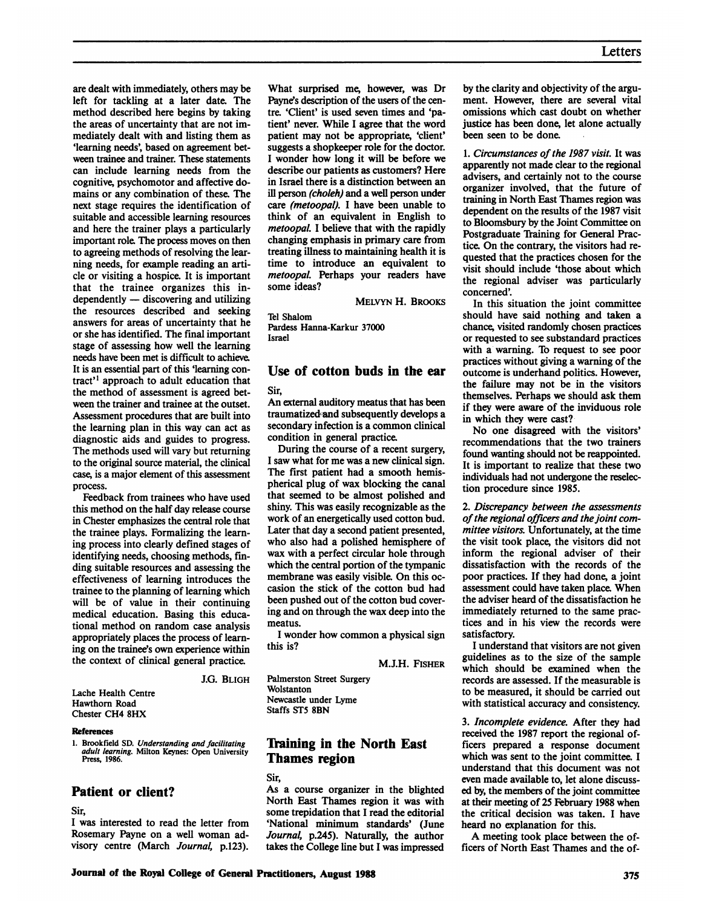are dealt with immediately, others may be left for tackling at a later date. The method described here begins by taking the areas of uncertainty that are not immediately dealt with and listing them as 'learning needs', based on agreement between trainee and trainer. These statements can include learning needs from the cognitive, psychomotor and affective domains or any combination of these. The next stage requires the identification of suitable and accessible learning resources and here the trainer plays a particularly important role. The process moves on then to agreeing methods of resolving the learning needs, for example reading an article or visiting a hospice. It is important that the trainee organizes this in $dependently$   $-$  discovering and utilizing the resources described and seeking answers for areas of uncertainty that he or she has identified. The final important stage of assessing how well the learning needs have been met is difficult to achieve. It is an essential part of this 'learning contract<sup>'</sup> approach to adult education that the method of assessment is agreed between the trainer and trainee at the outset. Assessment procedures that are built into the learning plan in this way can act as diagnostic aids and guides to progress. The methods used will vary but returning to the original source material, the clinical case, is a major element of this assessment process.

Feedback from trainees who have used this method on the half day release course in Chester emphasizes the central role that the trainee plays. Formalizing the learning process into clearly defined stages of identifying needs, choosing methods, finding suitable resources and assessing the effectiveness of learning introduces the trainee to the planning of learning which will be of value in their continuing medical education. Basing this educational method on random case analysis appropriately places the process of learning on the trainee's own experience within the context of clinical general practice.

J.G. BLIGH

Lache Health Centre Hawthorn Road Chester CH4 8HX

#### References

1. Brookfield SD. Understanding and facilitating *adult learning*. Milton Keynes: Open University<br>Press, 1986.

#### Patient or client?

Sir,

<sup>I</sup> was interested to read the letter from Rosemary Payne on a well woman advisory centre (March Journal, p.123).

What surprised me, however, was Dr Payne's description of the users of the centre. 'Client' is used seven times and 'patient' never. While <sup>I</sup> agree that the word patient may not be appropriate, 'client' suggests a shopkeeper role for the doctor. <sup>I</sup> wonder how long it will be before we describe our patients as customers? Here in Israel there is a distinction between an ill person (choleh) and a well person under care (metoopal). <sup>I</sup> have been unable to think of an equivalent in English to metoopal. <sup>I</sup> believe that with the rapidly changing emphasis in primary care from treating illness to maintaining health it is time to introduce an equivalent to metoopal. Perhaps your readers have some ideas?

MELVYN H. BROOKS

Tel Shalom Pardess Hanna-Karkur 37000 Israel

# Use of cotton buds in the ear

Sir,

An external auditory meatus that has been traumatizedand subsequently develops a secondary infection is a common clinical condition in general practice.

During the course of a recent surgery, <sup>I</sup> saw what for me was a new clinical sign. The first patient had a smooth hemispherical plug of wax blocking the canal that seemed to be almost polished and shiny. This was easily recognizable as the work of an energetically used cotton bud. Later that day a second patient presented, who also had a polished hemisphere of wax with a perfect circular hole through which the central portion of the tympanic membrane was easily visible. On this occasion the stick of the cotton bud had been pushed out of the cotton bud covering and on through the wax deep into the meatus.

<sup>I</sup> wonder how common a physical sign this is?

M.J.H. FISHER

Palmerston Street Surgery Wolstanton Newcastle under Lyme Staffs ST5 8BN

## Training in the North East Thames region

Sir,

As a course organizer in the blighted North East Thames region it was with some trepidation that <sup>I</sup> read the editorial 'National minimum standards' (June Journal, p.245). Naturally, the author takes the College line but <sup>I</sup> was impressed

by the clarity and objectivity of the argument. However, there are several vital omissions which cast doubt on whether justice has been done, let alone actually been seen to be done.

1. Circumstances of the 1987 visit. It was apparently not made clear to the regional advisers, and certainly not to the course organizer involved, that the future of training in North East Thames region was dependent on the results of the 1987 visit to Bloomsbury by the Joint Committee on Postgraduate Training for General Practice. On the contrary, the visitors had requested that the practices chosen for the visit should include 'those about which the regional adviser was particularly concerned'.

In this situation the joint committee should have said nothing and taken a chance, visited randomly chosen practices or requested to see substandard practices with a warning. To request to see poor practices without giving a warning of the outcome is underhand politics. However, the failure may not be in the visitors themselves. Perhaps we should ask them if they were aware of the inviduous role in which they were cast?

No one disagreed with the visitors' recommendations that the two trainers found wanting should not be reappointed. It is important to realize that these two individuals had not undergone the reselection procedure since 1985.

2. Discrepancy between the assessments of the regional officers and the joint committee visitors. Unfortunately, at the time the visit took place, the visitors did not inform the regional adviser of their dissatisfaction with the records of the poor practices. If they had done, a joint assessment could have taken place. When the adviser heard of the dissatisfaction he immediately returned to the same practices and in his view the records were satisfactory.

<sup>I</sup> understand that visitors are not given guidelines as to the size of the sample which should be examined when the records are assessed. If the measurable is to be measured, it should be carried out with statistical accuracy and consistency.

3. Incomplete evidence. After they had received the 1987 report the regional officers prepared a response document which was sent to the joint committee. I understand that this document was not even made available to, let alone discussed by, the members of the joint committee at their meeting of 25 February 1988 when the critical decision was taken. <sup>I</sup> have heard no explanation for this.

A meeting took place between the officers of North East Thames and the of